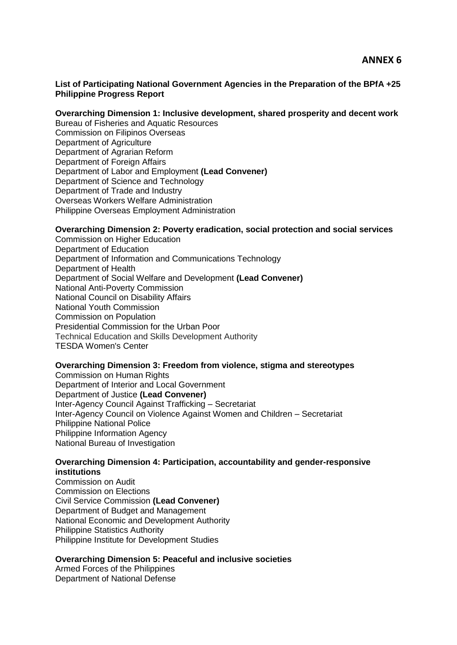#### **List of Participating National Government Agencies in the Preparation of the BPfA +25 Philippine Progress Report**

#### **Overarching Dimension 1: Inclusive development, shared prosperity and decent work**

Bureau of Fisheries and Aquatic Resources Commission on Filipinos Overseas Department of Agriculture Department of Agrarian Reform Department of Foreign Affairs Department of Labor and Employment **(Lead Convener)** Department of Science and Technology Department of Trade and Industry Overseas Workers Welfare Administration Philippine Overseas Employment Administration

#### **Overarching Dimension 2: Poverty eradication, social protection and social services**

Commission on Higher Education Department of Education Department of Information and Communications Technology Department of Health Department of Social Welfare and Development **(Lead Convener)** National Anti-Poverty Commission National Council on Disability Affairs National Youth Commission Commission on Population Presidential Commission for the Urban Poor Technical Education and Skills Development Authority TESDA Women's Center

## **Overarching Dimension 3: Freedom from violence, stigma and stereotypes**

Commission on Human Rights Department of Interior and Local Government Department of Justice **(Lead Convener)** Inter-Agency Council Against Trafficking – Secretariat Inter-Agency Council on Violence Against Women and Children – Secretariat Philippine National Police Philippine Information Agency National Bureau of Investigation

## **Overarching Dimension 4: Participation, accountability and gender-responsive institutions**

Commission on Audit Commission on Elections Civil Service Commission **(Lead Convener)** Department of Budget and Management National Economic and Development Authority Philippine Statistics Authority Philippine Institute for Development Studies

## **Overarching Dimension 5: Peaceful and inclusive societies**

Armed Forces of the Philippines Department of National Defense